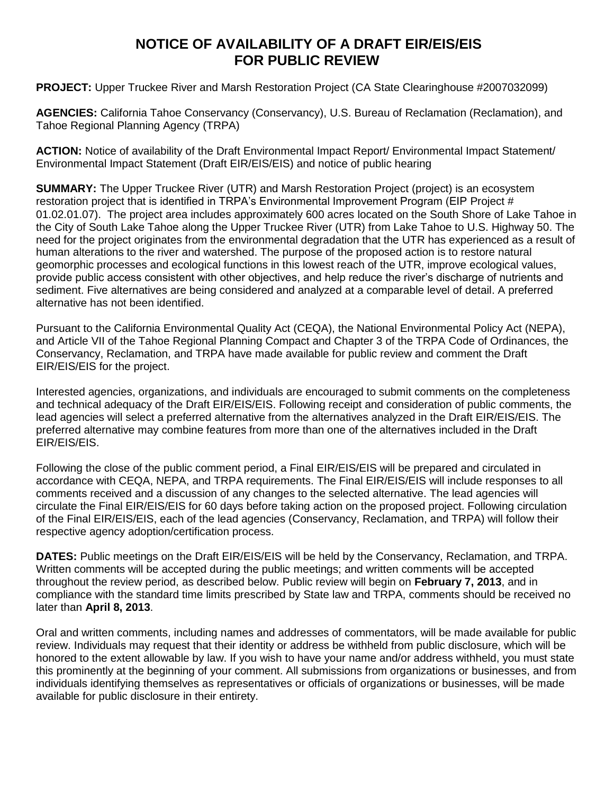## **NOTICE OF AVAILABILITY OF A DRAFT EIR/EIS/EIS FOR PUBLIC REVIEW**

**PROJECT:** Upper Truckee River and Marsh Restoration Project (CA State Clearinghouse #2007032099)

**AGENCIES:** California Tahoe Conservancy (Conservancy), U.S. Bureau of Reclamation (Reclamation), and Tahoe Regional Planning Agency (TRPA)

**ACTION:** Notice of availability of the Draft Environmental Impact Report/ Environmental Impact Statement/ Environmental Impact Statement (Draft EIR/EIS/EIS) and notice of public hearing

**SUMMARY:** The Upper Truckee River (UTR) and Marsh Restoration Project (project) is an ecosystem restoration project that is identified in TRPA's Environmental Improvement Program (EIP Project # 01.02.01.07). The project area includes approximately 600 acres located on the South Shore of Lake Tahoe in the City of South Lake Tahoe along the Upper Truckee River (UTR) from Lake Tahoe to U.S. Highway 50. The need for the project originates from the environmental degradation that the UTR has experienced as a result of human alterations to the river and watershed. The purpose of the proposed action is to restore natural geomorphic processes and ecological functions in this lowest reach of the UTR, improve ecological values, provide public access consistent with other objectives, and help reduce the river's discharge of nutrients and sediment. Five alternatives are being considered and analyzed at a comparable level of detail. A preferred alternative has not been identified.

Pursuant to the California Environmental Quality Act (CEQA), the National Environmental Policy Act (NEPA), and Article VII of the Tahoe Regional Planning Compact and Chapter 3 of the TRPA Code of Ordinances, the Conservancy, Reclamation, and TRPA have made available for public review and comment the Draft EIR/EIS/EIS for the project.

Interested agencies, organizations, and individuals are encouraged to submit comments on the completeness and technical adequacy of the Draft EIR/EIS/EIS. Following receipt and consideration of public comments, the lead agencies will select a preferred alternative from the alternatives analyzed in the Draft EIR/EIS/EIS. The preferred alternative may combine features from more than one of the alternatives included in the Draft EIR/EIS/EIS.

Following the close of the public comment period, a Final EIR/EIS/EIS will be prepared and circulated in accordance with CEQA, NEPA, and TRPA requirements. The Final EIR/EIS/EIS will include responses to all comments received and a discussion of any changes to the selected alternative. The lead agencies will circulate the Final EIR/EIS/EIS for 60 days before taking action on the proposed project. Following circulation of the Final EIR/EIS/EIS, each of the lead agencies (Conservancy, Reclamation, and TRPA) will follow their respective agency adoption/certification process.

**DATES:** Public meetings on the Draft EIR/EIS/EIS will be held by the Conservancy, Reclamation, and TRPA. Written comments will be accepted during the public meetings; and written comments will be accepted throughout the review period, as described below. Public review will begin on **February 7, 2013**, and in compliance with the standard time limits prescribed by State law and TRPA, comments should be received no later than **April 8, 2013**.

Oral and written comments, including names and addresses of commentators, will be made available for public review. Individuals may request that their identity or address be withheld from public disclosure, which will be honored to the extent allowable by law. If you wish to have your name and/or address withheld, you must state this prominently at the beginning of your comment. All submissions from organizations or businesses, and from individuals identifying themselves as representatives or officials of organizations or businesses, will be made available for public disclosure in their entirety.